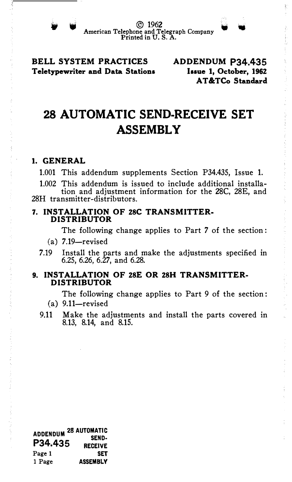• © 1962 • - American Telephone and Telegraph Company Printed in U. S. A.

# BELL SYSTEM PRACTICES Teletypewriter and Data Stations

ADDENDUM P34.435 Issue 1, October, 1962 AT&TCo Standard

# 28 AUTOMATIC SEND-RECEIVE SET ASSEMBLY

# 1. GENERAL

1.001 This addendum supplements Section P34.435, Issue 1.

1.002 This addendum is issued to include additional installation and adjustment information for the 28C, 28E, and 28H transmitter-distributors.

#### 7. INSTALLATION OF 28C TRANSMITTER-DISTRIBUTOR

The following change applies to Part 7 of the section:

- $(a)$  7.19-revised
- 7.19 Install the parts and make the adjustments specified in 6.25, 6.26, 6.27, and 6.28.

### 9. INSTALLATION OF 28E OR 28H TRANSMITTER-DISTRIBUTOR

The following change applies to Part 9 of the section:  $(a)$  9.11-revised

9.11 Make the adjustments and install the parts covered in 8.13, 8.14, and 8.15.

ADDENDUM 28 AUTOMATIC **P34.435** RECEIVE Page 1 SET 1 Page ASSEMBLY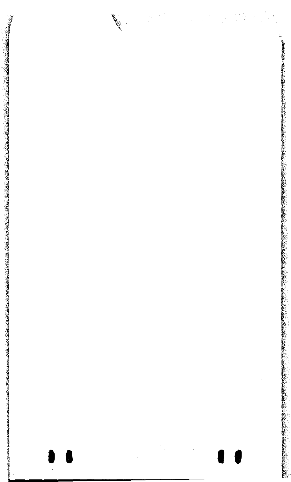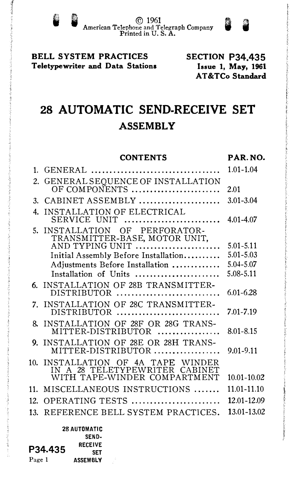# BELL SYSTEM PRACTICES Teletypewriter and Data Stations



# 28 AUTOMATIC SEND-RECEIVE SET ASSEMBLY

# CONTENTS PAR. NO. 1. GENERAL . . • . . . . . . . . . . . . . . . . . . . . . . . . . . . . . . . . 1.01-1.04 2. GENERAL SEQUENCE OF INSTALLATION OF COMPONENTS . . . . . . . • • . . . . . . . . . . . . . . . 2.01 3. CABINET ASSEMBLY . . . . .• . . • . . . . . . . . .. . . . 3.01-3.04 4. INSTALLATION OF ELECTRICAL SERVICE UNIT ........................... 4.01-4.07 5. INSTALLATION OF PERFORATOR-TRANSMITTER-BASE, MOTOR UNIT, AND TYPING UNIT . . . . . . . . . . . . • . • . . . . . . . . 5.01-5 .11 Initial Assembly Before Installation.......... 5.01-5.03 Adjustments Before Installation ............. 5.04-5.07 Installation of Units . . . . . . . • . . . • . . . . . . . . . . . 5.08-5.11 6. INSTALLATION OF 28B TRANSMITTER-DISTRIBUTOR . . . . . . . . . . . . . . . . . . . . . . . . . . . . 6.01-6.28 7. INSTALLATION OF 28C TRANSMITTER-DISTRIBUTOR . . . • . . . . . . . • . . . • . . . . . . . . . . . . 7.01-7.19 8. INSTALLATION OF 28F OR 28G TRANS-MITTER-DISTRIBUTOR ................. 8.01-8.15 9. INSTALLATION OF 28E OR 28H TRANS-MITTER-DISTRIBUTOR .................. 9.01-9.11 10. INSTALLATION OF 4A TAPE WINDER IN A 28 TELETYPEWRITER CABINET WITH TAPE-WINDER COMPARTMENT 10.01-10.02 11. MISCELLANEOUS INSTRUCTIONS ....... 11.01-11.10 12. OPERATING TESTS ......................... 12.01-12.09 13. REFERENCE BELL SYSTEM PRACTICES. 13.01-13.02

| 28 AUTOMATIC |                |
|--------------|----------------|
|              | SEND-          |
| P34.435      | <b>RECEIVE</b> |
|              | <b>SET</b>     |
| Page 1       | ASSEMBLY       |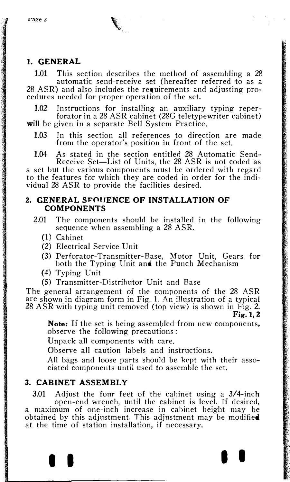# 1. GENERAL

1.01 This section describes the method of assembling a 28 automatic send-receive set (hereafter referred to as a 28 ASR) and also includes the requirements and adjusting procedures needed for proper operation of the set.

1.02 Instructions for installing an auxiliary typing reperforator in a 28 ASR cabinet (28G teletypewriter cabinet) will be given in a separate Bell System Practice.

- 1.03 In this section all references to direction are made from the operator's position in front of the set.
- 1.04 As stated in the section entitled 28 Automatic Send-Receive Set-List of Units, the 28 ASR is not coded as

a set but the various components must he ordered with regard to the features for which they are coded in order for the individual 28 ASR to provide the facilities desired.

### 2. GENERAL SFOUENCE OF INSTALLATION OF **COMPONENTS**

- 2.01 The components should be installed in the following sequence when assembling a 28 ASR.
	- (1) Cabinet
	- (2) Electrical Service Unit
	- (3) Perforator-Transmitter-Base, Motor Unit, Gears for both the Typing Unit and the Punch Mechanism
	- (4) Typing Unit
	- (5) Transmitter-Distributor Unit and Base

The general arrangement of the components of the 28 ASR are shown in diagram form in Fig. 1. An illustration of a typical 28 ASR with typing unit removed (top view) is shown in Fig. 2. Fig.I,2

Note: If the set is being assembled from new components, observe the following precautions:

Unpack all components with care.

Observe all caution labels and instructions.

All bags and loose parts should be kept with their associated components until used to assemble the set.

# 3. CABINET ASSEMBLY

3.01 Adjust the four feet of the cahinet using a 3/4-inch open-end wrench, until the cabinet is level. If desired, a maximum of one-inch increase in cabinet height may be obtained by this adjustment. This adjustment may be modified at the time of station installation, if necessary.

I I I I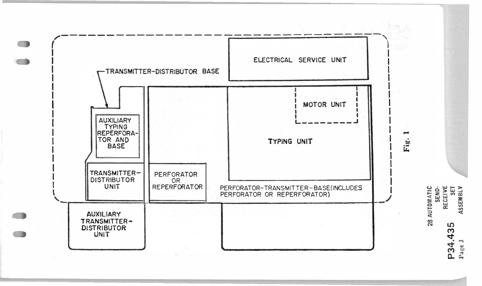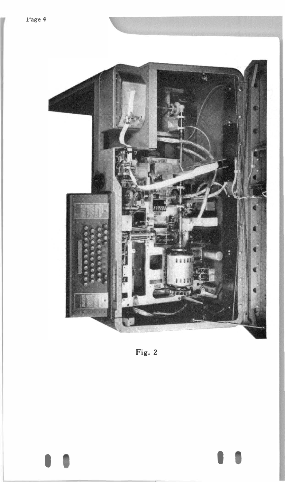

 $Fig. 2$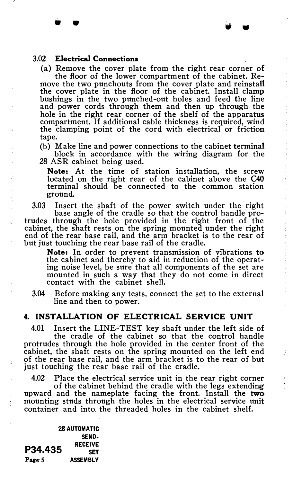### 3.02 Electrical Connections

(a) Remove the cover plate from the right rear corner of the floor of the lower compartment of the cabinet. Remove the two punchouts from the cover plate and reinstall the cover plate in the floor of the cabinet. Install clamp bushings in the two punched-out holes and feed the line and power cords through them and then up through the hole in the right rear corner of the shelf of the apparatus compartment. If additional cable thickness is required, wind the clamping point of the cord with electrical or friction tape.

• • • •

(b) Make line and power connections to the cabinet terminal block in accordance with the wiring diagram for the 28 ASR cabinet being used.

Note: At the time of station installation, the screw located on the right rear of the cabinet above the C40 terminal should be connected to the common station ground.

3.03 Insert the shaft of the power switch under the right base angle of the cradle so that the control handle protrudes through the hole provided in the right front of the cabinet, the shaft rests on the spring mounted under the right end of the rear base rail, and the arm bracket is to the rear of but just touching the rear base rail of the cradle.

Note: In order to prevent transmission of vibrations to the cabinet and thereby to aid in reduction of the operating noise level, be sure that all components of the set are mounted in such a way that they do not come in direct contact with the cabinet shell.

3.04 Before making any tests, connect the set to the external line and then to power.

#### 4. INSTALLATION OF ELECTRICAL SERVICE UNIT

4.01 Insert the LINE-TEST key shaft under the left side of the cradle of the cabinet so that the control handle protrudes through the hole provided in the center front of the cabinet, the shaft rests on the spring mounted on the left end of the rear base rail, and the arm bracket is to the rear of but just touching the rear base rail of the cradle.

4.02 Place the electrical service unit in the rear right corner of the cabinet behind the cradle with the legs extending upward and the nameplate facing the front. Install the two mounting studs through the holes in the electrical service unit container and into. the threaded holes in the cabinet shelf.

28 AUTOMATIC SEND· RECEIVE SET **ASSEMBLY** P34.435 Page 5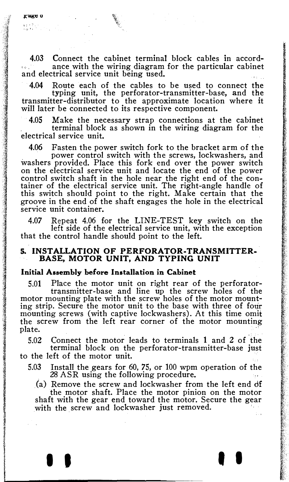4.03 Connect the cabinet terminal block cables in accord ance with the wiring diagram for the particular cabinet and electrical service unit being used.

4.04 Route each of the cables to be used to connect the typing unit, the perforator-transmitter-base, and the transmitter-distributor to the approximate location where it will later be connected to its respective component.

4.05 Make the necessary strap connections at the cabinet terminal block as shown in the wiring diagram for the electrical service unit.

4.06 Fasten the power switch fork to the bracket arm of the power control switch with the screws, lockwashers, and washers provided. Place this fork end over the power switch on the electrical service unit and locate the end of the power control switch shaft in the hole near the right end of the con-tainer of the electrical service unit. The right-angle handle of this switch should point to the right. Make certain that the groove in the end of the shaft engages the hole in the electrical service unit container.

4.07 Repeat 4.06 for the LINE-TEST key switch on the left side of the electrical service unit, with the exception that the control handle should point to the left.

#### S. INSTALLATION OF PERFORATOR-TRANSMITTER-BASE, MOTOR UNIT, AND TYPING UNIT

#### Initial Assembly before Installation in Cabinet

5.01 Place the motor unit on right rear of the perforatortransmitter-base and line up the screw holes of the motor mounting plate with the screw holes of the motor mounting strip. Secure the motor unit to the base with three of four mounting screws (with captive lockwashers). At this time omit the screw from the left rear corner of the motor mounting<br>plate.

5.02 Connect the motor leads to terminals 1 and 2 of the terminal block on the perforator-transmitter-base just

to the left of the motor unit.

5.03 Install the gears for 60, 75, or 100 wpm operation of the 28 ASR using the following procedure.

(a) Remove the screw and lockwasher from the left end df the motor shaft. Place the motor pinion on the motor shaft with the gear end toward the motor. Secure the gear with the screw and lockwasher just removed.

I I I I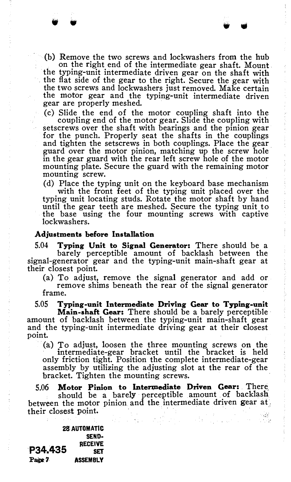(b) Remove the two screws and lockwashers from the hub on the right end of the intermediate gear shaft. Mount

• • • •

the typing-unit intermediate driven gear on the shaft with the flat side of the gear to the right. Secure the gear with the two screws and lockwashers just removed. Make certain the motor gear and the typing-unit intermediate driven gear are properly meshed.

(c) Slide the end of the motor coupling shaft into the coupling end of the motor gear. Slide the coupling with setscrews over the shaft with bearings and the pinion gear for the punch. Properly seat the shafts in the couplings and tighten the setscrews in both couplings. Place the gear guard over the motor pinion, matching up the screw hole in the gear guard with the rear left screw hole of the motor mounting plate. Secure the guard with the remaining motor mounting screw.

(d) Place the typing unit on the keyboard base mechanism with the front feet of the typing unit placed over the

typing unit locating studs. Rotate the motor shaft by hand until the gear teeth are meshed. Secure the typing unit to the base using the four mounting screws with captive lockwashers.

#### Adjustments before Installation

5.04 Typing Unit to Signal Generator: There should be a barely perceptible amount of backlash between the signal-generator gear and the typing-unit main-shaft gear at their closest point.

(a) To adjust, remove the signal generator and add or

remove shims beneath the rear of the signal generator frame.

5.05 Typing-unit Intermediate Driving Gear to Typing-unit Main-shaft Gear: There should be a barely perceptible amount of backlash between the typing-unit main-shaft gear and the typing-unit intermediate driving gear at their closest point.

(a) To adjust, loosen the three mounting screws on the intermediate-gear bracket until the bracket is held only friction tight. Position the complete intermediate-gear assembly by utilizing the adjusting slot at the rear of the bracket. Tighten the mounting screws.

5.06 Motor Pinion to Intermediate Driven Gear: There should be a barely perceptible amount of backlash between the motor pinion and the intermediate driven gear at. their closest point.

28 AUTOMATIC SEND· **P34.435** RECEIVE l'age7 ASSEMBLY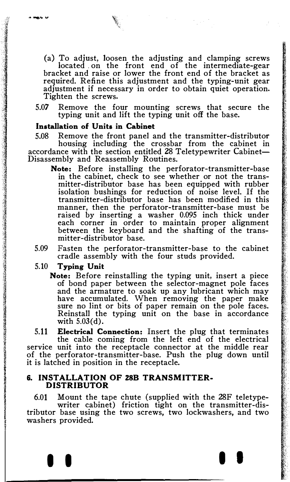(a) To adjust, loosen the adjusting and clamping screws located on the front end of the intermediate-gear bracket and raise or lower the front end of the bracket as required. Refine this adjustment and the typing-unit gear adjustment if necessary in order to obtain quiet operation. Tighten the screws.

5.07 Remove the four mounting screws that secure the typing unit and lift the typing unit off the base.

# Installation of Units in Cabinet

5.08 Remove the front panel and the transmitter-distributor housing including the crossbar from the cabinet in accordance with the section entitled 28 Teletypewriter Cabinet-Disassembly and Reassembly Routines.

- Note: Before installing the perforator-transmitter-base in the cabinet, check to see whether or not the transmitter-distributor base has been equipped with rubber isolation bushings for reduction of noise level. If the transmitter-distributor base has been modified in this manner, then the perforator-transmitter-base must be raised by inserting a washer 0.095 inch thick under each corner in order to maintain proper alignment between the keyboard and the shafting of the transmitter-distributor base.
- 5.09 Fasten the perforator-transmitter-base to the cabinet cradle assembly with the four studs provided.
- 5.10 Typing Unit

Note: Before reinstalling the typing unit, insert a piece of bond paper between the selector-magnet pole faces and the armature to soak up any lubricant which may have accumulated. When removing the paper make sure no lint or bits of paper remain on the pole faces. Reinstall the typing unit on the base in accordance with 5.03(d).

5.11 Electrical Connection: Insert the plug that terminates the cable coming from the left end of the electrical service unit into the receptacle connector at the middle rear of the perforator-transmitter-base. Push the plug down until it is latched in position in the receptacle.

#### 6. INSTALLATION OF 28B TRANSMITTER-DISTRIBUTOR

6.01 Mount the tape chute (supplied with the 28F teletypewriter cabinet) friction tight on the transmitter-distributor base using the two screws, two lockwashers, and two washers provided.

I I I I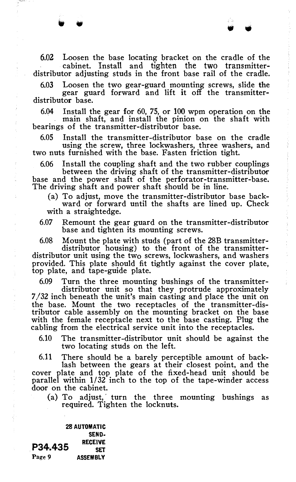6.02 Loosen the base locating bracket on the cradle of the cabinet. Install and tighten the two transmitterdistributor adjusting studs in the front base rail of the cradle.

6.03 Loosen the two gear-guard mounting screws, slide the gear guard forward and lift it off the transmitterdistributor base.

6.04 Install the gear for 60, 75, or 100 wpm operation on the main shaft, and install the pinion on the shaft with bearings of the transmitter-distributor base.

6.05 Install the transmitter-distributor base on the cradle using the screw, three lockwashers, three washers, and two nuts furnished with the base. Fasten friction tight.

6.06 Install the coupling shaft and the two rubber couplings between the driving shaft of the transmitter-distributor

base and the power shaft of the perforator-transmitter-base. The driving shaft and power shaft should be in line.

(a) To adjust, move the transmitter-distributor base back-

ward or forward until the shafts are lined up. Check with a straightedge.

6.07 Remount the gear guard on the transmitter-distributor base and tighten its mounting screws.

6.08 Mount the plate with studs (part of the 28B transmitterdistributor housing) to the front of the transmitter-

distributor unit using the two screws, lockwashers, and washers provided. This plate should fit tightly against the cover plate, top plate, and tape-guide plate.

6.09 Turn the three mounting bushings of the transmitterdistributor unit so that they protrude approximately 7/32 inch beneath the unit's main casting and place the unit on the base. Mount the two receptacles of the transmitter-distributor cable assembly on the mounting bracket on the base with the female receptacle next to the base casting. Plug the cabling from the electrical service unit into the receptacles.

6.10 The transmitter-distributor unit should be against the two locating studs on the left.

6.11 There should be a barely perceptible amount of backlash between the gears at their closest point, and the cover plate and top plate of the fixed-head unit should be parallel within 1/32 inch to the top of the tape-winder access door on the cabinet.

(a) To adjust, turn the three mounting bushings as required. Tighten the locknuts.

28 AUTOMATIC SEND· RECEIVE SET ASSEMBLY P34.435 Page 9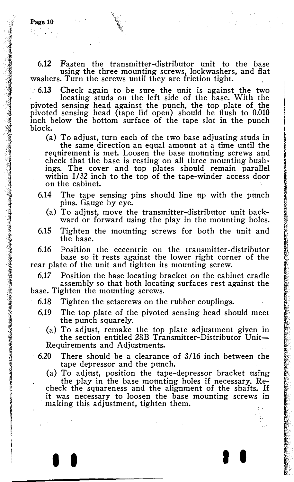6.12 Fasten the transmitter-distributor unit to the base using the three mounting screws, lockwashers, and flat washers. Turn the screws until they are friction tight.

·. 6.13 Check again to be sure the unit is against the two locating studs on the left side of the base. With the pivoted sensing head against the punch, the top plate of the pivoted sensing head (tape lid open) should be flush to 0.010 inch below the bottom surface of the tape slot in the punch block.

(a) To adjust, turn each of the two base adjusting studs in

the same direction an equal amount at a time until the requirement is met. Loosen the base mounting screws and check that the base is resting on all three mounting bushings. The cover and top plates should remain parallel within  $1/32$  inch to the top of the tape-winder access door on the cabinet.

- 6.14 The tape sensing pins should line up with the punch pins. Gauge by eye.
	- (a) To adjust, move the transmitter-distributor unit backward or forward using the play in the mounting holes.
- 6.15 Tighten the mounting screws for both the unit and the base.
- 6.16 Position the eccentric on the transmitter-distributor base so it rests against the lower right corner of the

rear plate of the unit and tighten its mounting screw.

6.17 Position the base locating bracket on the cabinet cradle assembly so that both locating surfaces rest against the base. Tighten the mounting screws.

- 6.18 Tighten the setscrews on the rubber couplings.
- 6.19 The top plate of the pivoted sensing head should meet the punch squarely.
	- (a) To adjust, remake the top plate adjustment given in the section entitled 28B Transmitter-Distributor Unit-' Requirements and Adjustments.
- · 6.20 There should be a clearance of 3/16 inch between the tape depressor and the punch.
	- (a) To adjust, position the tape-depressor bracket using

the play in the base mounting holes if necessary. Recheck the squareness and the alignment of the shafts. If it was necessary to loosen the base mounting screws in making this adjustment, tighten them.

**I I I I I**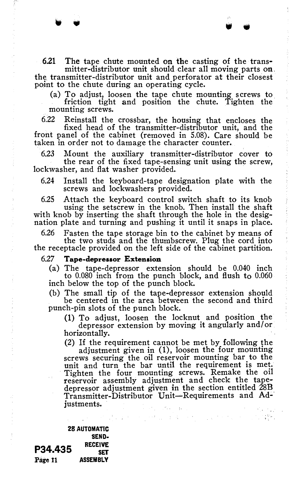621 The tape chute mounted on the casting of the transmitter-distributor unit should clear all moving parts on.

w •

the. transmitter-distributor unit and perforator at their closest point to the chute during an operating cycle.

(a) To adjust, loosen the tape chute mounting s crews to

friction tight and position the chute. Tighten the mounting screws.

6.22 Reinstall the crossbar, the housing that encloses the fixed head of the transmitter-distributor unit, and the front panel of the cabinet (removed in 5.08). Care should be taken in order not to damage the character counter.

6.23 Mount the auxiliary transmitter-distributor cover to the rear of the fixed tape-sensing unit using the screw,

lockwasher, and flat washer provided.

6.24 Install the keyboard-tape designation plate with the screws and lockwashers provided.

6.25 Attach the keyboard control switch shaft to its knob using the setscrew in the knob. Then install the shaft with knob by inserting the shaft through the hole in the designation plate and turning and pushing it until it snaps in place.

6.26 Fasten the tape storage bin to the cabinet by means of the two studs and the thumbscrew. Plug the cord into the receptacle provided on the left side of the cabinet partition.

6.27 Tape-depressor Extension

(a) The tape-depressor extension should be 0.040 inch to 0.080 inch from the punch block, and flush to 0.060 inch below the top of the punch block.

(b) The small tip of the tape-depressor extension should be centered in the area between the second and third punch-pin slots of the punch block.

(1) To adjust, loosen the locknut and position the depressor extension by moving it angularly and/ or horizontally.

(2) If the requirement cannot be met by following the adjustment given in (1), loosen the four mounting screws securing the oil reservoir mounting bar to the unit and turn the bar until the requirement is met. Tighten the four mounting screws. Remake the oil reservoir assembly adjustment and check the tapedepressor adjustment given in the section entitled 28B Transmitter-Distributor Unit-Requirements and Adjustments.

对对方的 化分子体管 医安全性 医氧化物 计可分类数

28 AUTOMATIC SEND-P34.435 <sup>receive</sup> Page 11 ASSEMBLY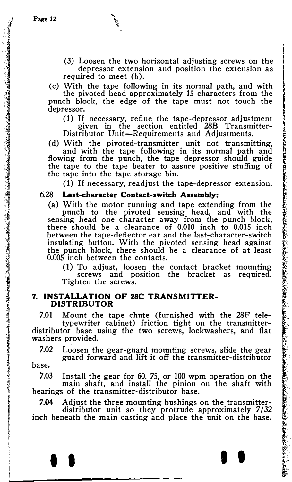(3) Loosen the two horizontal adjusting screws on the depressor extension and position the extension as required to meet (b).

(c) With the tape following in its normal path, and with the pivoted head approximately 15 characters from the punch block, the edge of the tape must not touch the depressor.

(1) If necessary, refine the tape-depressor adjustment

given in the section entitled 28B Transmitter-Distributor Unit-Requirements and Adjustments.

(d) With the pivoted-transmitter unit not transmitting, and with the tape following in its normal path and flowing from the punch, the tape depressor should guide the tape to the tape beater to assure positive stuffing of the tape into the tape storage bin.

(1) If necessary, readjust the tape-depressor extension.

#### 6.28 Last-character Contact-switch Assembly:

(a) With the motor running and tape extending from the punch to the pivoted sensing head, and with the sensing head one character away from the punch block, there should be a clearance of 0.010 inch to 0.015 inch between the tape-deflector ear and the last-character-switch insulating button. With the pivoted sensing head against the punch block, there should be a clearance of at least 0.005 inch between the contacts.

(1) To adjust, loosen the contact bracket mounting screws and position the bracket as required. Tighten the screws.

#### 7. INSTALLATION OF 28C TRANSMITTER-DISTRIBUTOR

7.01 Mount the tape chute (furnished with the 28F teletypewriter cabinet) friction tight on the transmitterdistributor base using the two screws, lockwashers, and flat washers provided.

7.02 Loosen the gear-guard mounting screws, slide the gear guard forward and lift it off the transmitter-distributor

base.

7.03 Install the gear for 60, 75, or 100 wpm operation on the main shaft, and install the pinion on the shaft with bearings of the transmitter-distributor base.

7.04 Adjust the three mounting bushings on the transmitterdistributor unit so they protrude approximately 7/32 inch beneath the main casting and place the unit on the base.

• • I I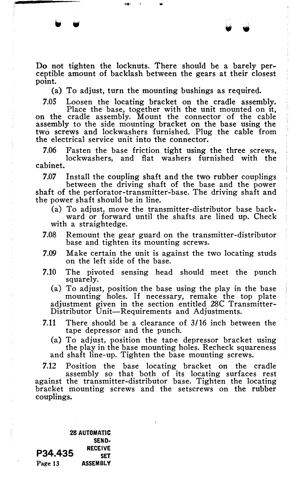Do not tighten the locknuts. There should be a barely perceptible amount of backlash between the gears at their closest point.

(a) To adjust, turn the mounting bushings as required.

7.05 Loosen the locating bracket on the cradle assembly.

Place the base, together with the unit mounted on it, on the cradle assembly. Mount the connector of the cable assembly to the side mounting bracket on the base using the two screws and lockwashers furnished. Plug the cable from the electrical service unit into the connector.

7.06 Fasten the base friction tight using the three screws, lockwashers, and flat washers furnished with the cabinet.

7.07 Install the coupling shaft and the two rubber couplings

between the driving shaft of the base and the power shaft of the perforator-transmitter-base. The driving shaft and the power shaft should be in line.

(a) To adjust, move the transmitter-distributor base backward or forward until the shafts are lined up. Check with a straightedge.

- 7.08 Remount the gear guard on the transmitter-distributor base and tighten its mounting screws.
- 7.09 Make certain the unit is against the two locating studs on the left side of the base.
- 7.10 The pivoted sensing head should meet the punch squarely.

(a) To adjust, position the base using the play in the base mounting holes. If necessary, remake the top plate adjustment given in the section entitled 28C Transmitter-Distributor Unit—Requirements and Adjustments.

7.11 There should be a clearance of 3/16 inch between the tape depressor and the punch.

(a) To adjust, position the tape depressor bracket using the play in the base mounting holes. Recheck squareness and shaft line-up. Tighten the base mounting screws.

7.12 Position the base locating bracket on the cradle assembly so that both of its locating surfaces rest against the transmitter-distributor base. Tighten the locating bracket mounting screws and the setscrews on the rubber couplings.

28 AUTOMATIC SEND-RECEIVE SET ASSEMBLY P34.435 Page 13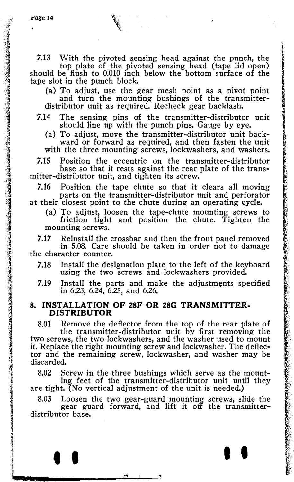7.13 With the pivoted sensing head against the punch, the top plate of the pivoted sensing head (tape lid open) should be flush to 0.010 inch below the bottom surface of the tape slot in the punch block.

(a) To adjust, use the gear mesh point as a pivot point and turn the mounting bushings of the transmitterdistributor unit as required. Recheck gear backlash.

- 7.14 The sensing pins of the transmitter-distributor unit should line up with the punch pins. Gauge by eye.
	- (a) To adjust, move the transmitter-distributor unit backward or forward as required, and then fasten the unit with the three mounting screws, lockwashers, and washers.

7.15 Position the eccentric on the transmitter-distributor base so that it rests against the rear plate of the transmitter-distributor unit, and tighten its screw.

7.16 Position the tape chute so that it clears all moving parts on the transmitter-distributor unit and perforator

at their closest point to the chute during an operating cycle.

(a) To adjust, loosen the tape-chute mounting screws to friction tight and position the chute. Tighten the mounting screws.

7.17 Reinstall the crossbar and then the front panel removed in 5.08. Care should be taken in order not to damage

the character counter.

·1

la de la segunda de la componenta de la componenta de la componenta de la componenta de la componenta de la co<br>La componenta de la componenta de la componenta de la componenta de la componenta de la componenta de la compo

•••• !

l

la anno 1940 ann an Chomach an Albanya.<br>Leo **Increase ISONAL** 

**International Constitution** 

- 7.18 Install the designation plate to the left of the keyboard using the two screws and lockwashers provided.
- 7.19 Install the parts and make the adjustments specified in 6.23, 6.24, 6.25, and 6.26.

#### 8. INSTALLATION OF 28F OR 28G TRANSMITTER-DISTRIBUTOR

**FREE 14**<br>
2.13 With the pivoted sensing head against the punch, the<br>
2.13 With the pivoted sensing head degale that  $\theta$  on the bottom surface of the<br>
1.0 of disk in this to 0.00 line below the bottom surface of the<br>
1.0 8.01 Remove the deflector from the top of the rear plate of the transmitter-distributor unit by first removing the two screws, the two lockwashers, and the washer used to mount it. Replace the right mounting screw and lockwasher. The deflector and the remaining screw, lockwasher, and washer may be discarded.

8.02 Screw in the three bushings which serve as the mounting feet of the transmitter-distributor unit until they are tight. (No vertical adjustment of the unit is needed.)

8.03 Loosen the two gear-guard mounting screws, slide the gear guard forward, and lift it off the transmitterdistributor base.

t 1988 - 1988 - 1988 - 1988 - 1988 - 1988 - 1988 - 1988 - 1988 - 1988 - 1988 - 1988 - 1988 - 1988 - 1988 - 198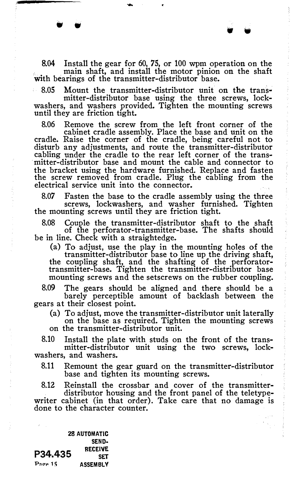8.04 Install the gear for 60, 75, or 100 wpm operation on the main shaft, and install the motor pinion on the shaft with bearings of the transmitter-distributor base.

• • • w

8.05 Mount the transmitter-distributor unit on the transmitter-distributor base using the three screws, lock-washers, and washers provided. Tighten the mounting screws until they are friction tight.

8.06 Remove the screw from the left front corner of the cabinet cradle assembly. Place the base and unit on the cradle. Raise the corner of the cradle, being careful not to disturb any adjustments, and route the transmitter-distributor cabling under the cradle to the rear left corner of the transmitter-distributor base and mount the cable and connector to the bracket using the hardware furnished. Replace and fasten the screw removed from cradle. Plug the cabling from the electrical service unit into the connector.

8.07 Fasten the base to the cradle assembly using the three screws, lockwashers, and washer furnished. Tighten the mounting screws until they are friction tight.

8.08 Couple the transmitter-distributor shaft to the shaft of the perforator-transmitter-base. The shafts should be in line. Check with a straightedge.

(a) To adjust, use the play in the mounting holes of the transmitter-distributor base to line up the driving shaft, the coupling shaft, and the shafting of the perforatortransmitter-base. Tighten the transmitter-distributor base mounting screws and the setscrews on the rubber coupling.

8.09 The gears should be aligned and there should be a barely perceptible amount of backlash between the gears at their closest point.

(a) To adjust, move the transmitter-distributor unit laterally on the base as required. Tighten the mounting screws on the transmitter-distributor unit.

8.10 Install the plate with studs on the front of the transmitter-distributor unit using the two screws, lockwashers, and washers.

8.11 Remount the gear guard on the transmitter-distributor base and tighten its mounting screws.

8.12 Reinstall the crossbar and cover of the transmitterdistributor housing and the front panel of the teletypewriter cabinet (in that order). Take care that no damage is done to the character counter.

28 AUTOMATIC SEND· P34.435 RECEIVE Page 15 ASSEMBLY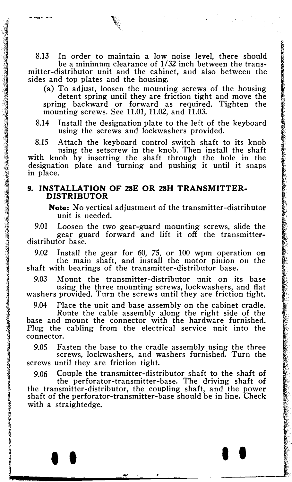8.13 In order to maintain a low noise level, there should be a minimum clearance of  $1/32$  inch between the transmitter-distributor unit and the cabinet, and also between the sides and top plates and the housing.

(a) To adjust, loosen the mounting screws of the housing detent spring until they are friction tight and move the spring backward or forward as required. Tighten the mounting screws. See 11.01, 11.02, and 11.03.

8.14 Install the designation plate to the left of the keyboard using the screws and lockwashers provided.

8.15 Attach the keyboard control switch shaft to its knob

using the setscrew in the knob. Then install the shaft with knob by inserting the shaft through the hole in the designation plate and turning and pushing it until it snaps in place.

### 9. INSTALLATION OF 28E OR 28H TRANSMITTER-DISTRIBUTOR

Note: No vertical adjustment of the transmitter-distributor unit is needed.

9.01 Loosen the two gear-guard mounting screws, slide the gear guard forward and lift it off the transmitterdistributor base.

9.02 Install the gear for 60, 75, or 100 wpm operation on the main shaft, and install the motor pinion on the shaft with bearings of the transmitter-distributor base.

9.03 Mount the transmitter-distributor unit on its base using the three mounting screws, lockwashers, and flat washers provided. Turn the screws until they are friction tight.

9.04 Place the unit and base assembly on the cabinet cradle.

Route the cable assembly along the right side of the base and mount the connector with the hardware furnished. Plug the cabling from the electrical service unit into the connector.

9.05 Fasten the base to the cradle assembly using the three screws, lockwashers, and washers furnished. Turn the screws until they are friction tight.

9.06 Couple the transmitter-distributor shaft to the shaft of

the perforator-transmitter-base. The driving shaft of the transmitter-distributor, the coupling shaft, and the power shaft of the perforator-transmitter-base should be in line. Check with a straightedge.

• • I I

**International Gallery**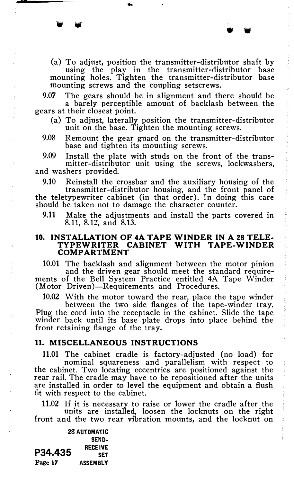(a) To adjust, position the transmitter-distributor shaft by using the play in the transmitter-distributor base mounting holes. Tighten the transmitter-distributor base mounting screws and the coupling setscrews.

• w

9.07 The gears should be in alignment and there should be a barely perceptible amount of backlash between the gears at their closest point.

- (a) To adjust, laterally position the transmitter-distributor unit on the base. Tighten the mounting screws.
- 9.08 Remount the gear guard on the transmitter-distributor base and tighten its mounting screws.

9.09 Install the plate with studs on the front of the transmitter-distributor unit using the screws, lockwashers, and washers provided.

9.10 Reinstall the crossbar and the auxiliary housing of the transmitter-distributor housing, and the front panel of the teletypewriter cabinet (in that order). In doing this care should be taken not to damage the character counter.

9.11 Make the adjustments and install the parts covered in 8.11, 8.12, and 8.13.

#### 10. INSTALLATION OF 4A TAPE WINDER IN A 28 TELE-TYPEWRITER CABINET WITH TAPE-WINDER COMPARTMENT

10.01 The backlash and alignment between the motor pinion and the driven gear should meet the standard require-ments of the Bell System Practice entitled 4A Tape Winder (Motor Driven)-Requirements and Procedures.

10.02 With the motor toward the rear, place the tape winder between the two side flanges of the tape-winder tray.

Plug the cord into the receptacle in the cabinet. Slide the tape winder back until its base plate drops into place behind the front retaining flange of the tray.

#### 11. MISCELLANEOUS INSTRUCTIONS

11.01 The cabinet cradle is factory-adjusted (no load) for nominal squareness and parallelism with respect to the cabinet. Two locating eccentrics are positioned against the rear rail. The cradle may have to be repositioned after the units are installed in order to level the equipment and obtain a flush fit with respect to the cabinet.

11.02 If it is necessary to raise or lower the cradle after the units are installed, loosen the locknuts on the right front and the two rear vibration mounts, and the locknut on

28 AUTOMATIC SEND· RECEIVE SET **ASSEMBLY** P34.435 Page 17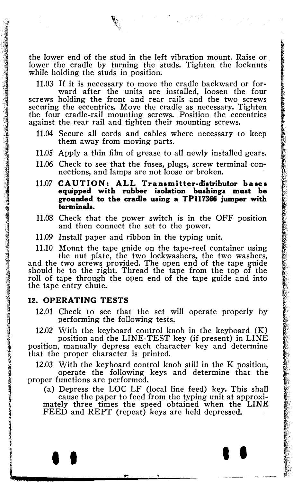the lower end of the stud in the left vibration mount. Raise or lower the cradle by turning the studs. Tighten the locknuts while holding the studs in position.

11.03 If it is necessary to move the cradle backward or for-

ward after the units are installed, loosen the four screws holding the front and rear rails and the two screws securing the eccentrics. Move the cradle as necessary. Tighten the four cradle-rail mounting screws. Position the eccentrics against the rear rail and tighten their mounting screws.

- 11.04 Secure all cords and cables where necessary to keep them away from moving parts.
- 11.05 Apply a thin film of grease to all newly installed gears.
- 11.06 Check to see that the fuses, plugs, screw terminal connections, and lamps are not loose or broken.
- 11.07 CAUTION: ALL Transmitter-distributor bases equipped with rubber isolation bushings must be grounded to the cradle using a TP117366 jumper with terminals.
- 11.08 Check that the power switch is in the OFF position and then connect the set to the power.
- 11.09 Install paper and ribbon in the typing unit.
- 11.10 Mount the tape guide on the tape-reel container using the nut plate, the two lockwashers, the two washers,

and the two screws provided. The open end of the tape guide should be to the right. Thread the tape from the top of the roll of tape through the open end of the tape guide and into the tape entry chute.

#### 12. OPERATING TESTS

12.01 Check to see that the set will operate properly by performing the following tests.

12.02 With the keyboard control knob in the keyboard (K) position and the LINE-TEST key (if present) in LINE

position, manually depress each character key and determine that the proper character is printed.

12.03 With the keyboard control knob still in the K position, operate the following keys and determine that the proper functions are performed.

(a) Depress the LOC LF (local line feed) key. This shall

cause the paper to feed from the typing unit at approximately three times the speed obtained when the LINE FEED and REPT (repeat) keys are held depressed.

• t I I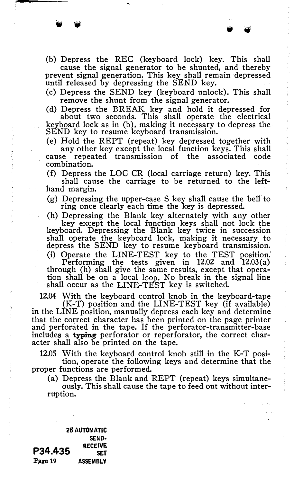HV.

(b) Depress the REC (keyboard lock) key. This shall cause the signal generator to be shunted, and thereby

prevent signal generation. This key shall remain depressed until released by depressing the SEND key.

(c) Depress the SEND key (keyboard unlock). This shall remove the shunt from the signal generator.

(d) Depress the BREAK key and hold it depressed for about two seconds. This shall operate the electrical keyboard lock as in (b), making it necessary to depress the SEND key to resume keyboard transmission.

(e) Hold the REPT (repeat) key depressed together with any other key except the local function keys. This shall cause repeated transmission of the associated code combination.

(f) Depress the LOC CR (local carriage return) key. This

shall cause the carriage to be returned to the lefthand margin.

(g) Depressing the upper-case S key shall cause the bell to ring once clearly each time the key is depressed. ·

(h) Depressing the Blank key alternately with any other key except the local function keys shall not lock the keyboard. Depressing the Blank key twice in succession shall operate the keyboard lock, making it necessary to depress the SEND key to resume keyboard transmission.

(i) Operate the LINE-TEST key to the TEST position. Performing the tests given in 12.02 and 12.03(a) through (h) shall give the same results, except that operation shall be on a local loop. No break in the signal line shall occur as the LINE-TEST key is switched.

12.04 With the keyboard control knob in the keyboard-tape (K-T) position and the LINE-TEST key (if available) in the LINE position, manually depress each key and determine that the correct character has been printed on the page printer and perforated in the tape. If the perforator-transmitter-base includes a typing perforator or reperforator, the correct character shall also be printed on the tape.

12.05 With the keyboard control knob still in the K-T posi-

tion, operate the following keys and determine that the proper functions are performed.

(a) Depress the Blank and REPT (repeat) keys simultaneously. This shall cause the tape to feed out without interruption.

28 AUTOMATIC SEND· P34.435 <sup>Receive</sup> Page 19 ASSEMBLY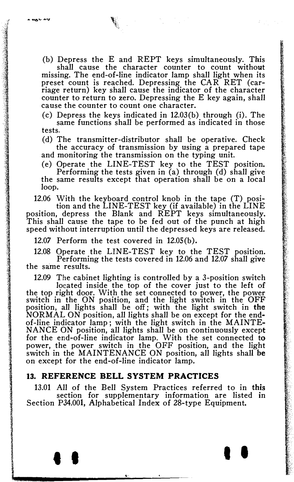waa yaa ku jirtaa ku jirtaa ku jirtaa ku jirtaa ku jirtaa ku jirtaa ku jirtaa ku jirtaa ku jirtaa ku jirtaa ku<br>Waliofari

ag u 40

International Accounts of the Accounts of the Accounts of the Accounts of the Accounts of the Accounts of the Accounts of the Accounts of the Accounts of the Accounts of the Accounts of the Accounts of the Accounts of the

1·.···'·:····. ..

elementation (n. 1986)<br>1986 - Paul Barnett, politik amerikanischer Politik (n. 1986)<br>1986 - Paul Barnett, politik amerikanischer Politik (n. 1986)

i<br>India<br>I

(b) Depress the E and REPT keys simultaneously. This

shall cause the character counter to count without missing. The end-of-line indicator lamp shall light when its preset count is reached. Depressing the CAR RET (carriage return) key shall cause the indicator of the character counter to return to zero. Depressing the E key again, shall cause the counter to count one character.

(c) Depress the keys indicated in 12.03(b) through (i). The same functions shall be performed as indicated in those tests.

(d) The transmitter-distributor shall be operative. Check the accuracy of transmission by using a prepared tape

and monitoring the transmission on the typing unit.

(e) Operate the LINE-TEST key to the TEST position. Performing the tests given in (a) through (d) shall give

the same results except that operation shall be on a local loop.

12.06 With the keyboard control knob in the tape (T) posi-

tion and the LINE-TEST key (if available) in the LINE position, depress the Blank and REPT keys simultaneously. This shall cause the tape to be fed out of the punch at high speed without interruption until the depressed keys are released.

12.07 Perform the test covered in 12.05(b).

12.08 Operate the LINE-TEST key to the TEST position. Performing the tests covered in 12.06 and 12.07 shall give the same results.

12.09 The cabinet lighting is controlled by a 3-position switch

located inside the top of the cover just to the left of the top right door. With the set connected to power, the power switch in the ON position, and the light switch in the OFF position, all lights shall be off; with the light switch in the NORMAL ON position, all lights shall be on except for the endof-line indicator lamp; with the light switch in the MAINTE-NANCE ON position, all lights shall be on continuously except for the end-of-line indicator lamp. With the set connected to power, the power switch in the OFF position, and the light switch in the MAINTENANCE ON position, all lights shall be on except for the end-of-line indicator lamp.

# 13. REFERENCE BELL SYSTEM PRACTICES

13.01 All of the Bell System Practices referred to in this section for supplementary information are listed in Section P34.001, Alphabetical Index of 28-type Equipment.

• • I I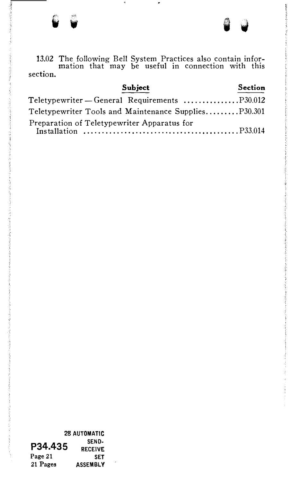13.02 The following Bell System Practices also contain infor-mation that may be useful in connection with this section.

| Subject                                              | Section |
|------------------------------------------------------|---------|
| Teletypewriter — General Requirements P30.012        |         |
| Teletypewriter Tools and Maintenance SuppliesP30.301 |         |
| Preparation of Teletypewriter Apparatus for          |         |

28 AUTOMATIC P34.435 Page 21 21 Pages SEND· RECEIVE SET ASSEMBLY

à

经合同的经营收入 医心中心血管炎 医血液分泌 医马克氏试验检尿道 计可以分类程序 医心包的 医心包的 化二硫酸盐 化硫酸盐 计数字符号

underlieb absolute

. The contrast of the contrast of the contrast of the contrast of the contrast of the contrast of the contrast of the contrast of the contrast of the contrast of the contrast of the contrast of the contrast of the contras

South Avenue Į